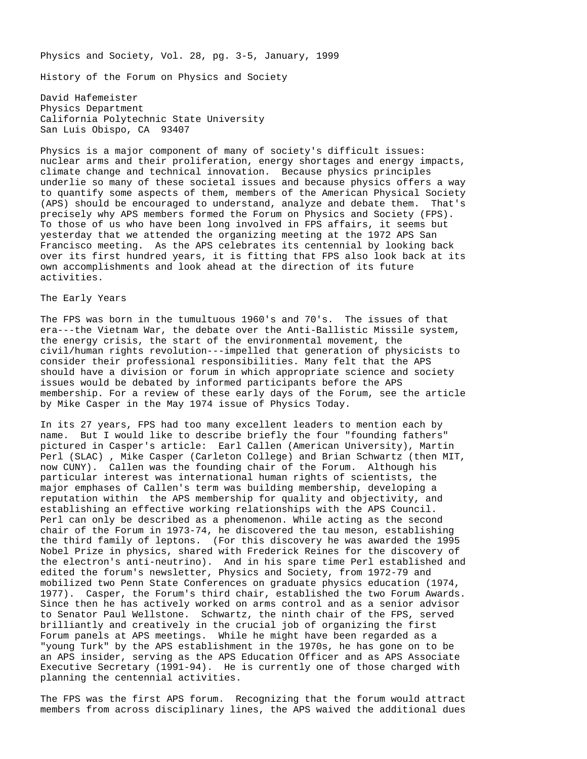Physics and Society, Vol. 28, pg. 3-5, January, 1999

History of the Forum on Physics and Society

David Hafemeister Physics Department California Polytechnic State University San Luis Obispo, CA 93407

Physics is a major component of many of society's difficult issues: nuclear arms and their proliferation, energy shortages and energy impacts, climate change and technical innovation. Because physics principles underlie so many of these societal issues and because physics offers a way to quantify some aspects of them, members of the American Physical Society (APS) should be encouraged to understand, analyze and debate them. That's precisely why APS members formed the Forum on Physics and Society (FPS). To those of us who have been long involved in FPS affairs, it seems but yesterday that we attended the organizing meeting at the 1972 APS San Francisco meeting. As the APS celebrates its centennial by looking back over its first hundred years, it is fitting that FPS also look back at its own accomplishments and look ahead at the direction of its future activities.

### The Early Years

The FPS was born in the tumultuous 1960's and 70's. The issues of that era---the Vietnam War, the debate over the Anti-Ballistic Missile system, the energy crisis, the start of the environmental movement, the civil/human rights revolution---impelled that generation of physicists to consider their professional responsibilities. Many felt that the APS should have a division or forum in which appropriate science and society issues would be debated by informed participants before the APS membership. For a review of these early days of the Forum, see the article by Mike Casper in the May 1974 issue of Physics Today.

In its 27 years, FPS had too many excellent leaders to mention each by name. But I would like to describe briefly the four "founding fathers" pictured in Casper's article: Earl Callen (American University), Martin Perl (SLAC) , Mike Casper (Carleton College) and Brian Schwartz (then MIT, now CUNY). Callen was the founding chair of the Forum. Although his particular interest was international human rights of scientists, the major emphases of Callen's term was building membership, developing a reputation within the APS membership for quality and objectivity, and establishing an effective working relationships with the APS Council. Perl can only be described as a phenomenon. While acting as the second chair of the Forum in 1973-74, he discovered the tau meson, establishing the third family of leptons. (For this discovery he was awarded the 1995 Nobel Prize in physics, shared with Frederick Reines for the discovery of the electron's anti-neutrino). And in his spare time Perl established and edited the forum's newsletter, Physics and Society, from 1972-79 and mobilized two Penn State Conferences on graduate physics education (1974, 1977). Casper, the Forum's third chair, established the two Forum Awards. Since then he has actively worked on arms control and as a senior advisor to Senator Paul Wellstone. Schwartz, the ninth chair of the FPS, served brilliantly and creatively in the crucial job of organizing the first Forum panels at APS meetings. While he might have been regarded as a "young Turk" by the APS establishment in the 1970s, he has gone on to be an APS insider, serving as the APS Education Officer and as APS Associate Executive Secretary (1991-94). He is currently one of those charged with planning the centennial activities.

The FPS was the first APS forum. Recognizing that the forum would attract members from across disciplinary lines, the APS waived the additional dues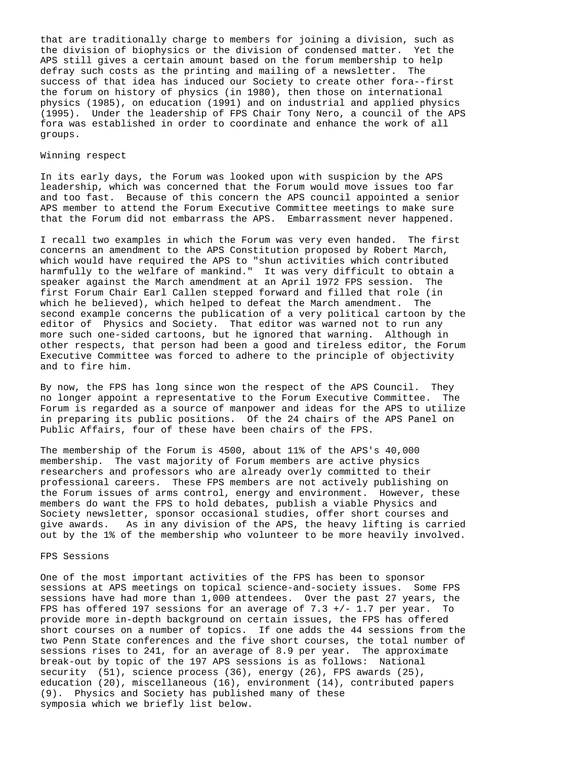that are traditionally charge to members for joining a division, such as the division of biophysics or the division of condensed matter. Yet the APS still gives a certain amount based on the forum membership to help defray such costs as the printing and mailing of a newsletter. The success of that idea has induced our Society to create other fora--first the forum on history of physics (in 1980), then those on international physics (1985), on education (1991) and on industrial and applied physics (1995). Under the leadership of FPS Chair Tony Nero, a council of the APS fora was established in order to coordinate and enhance the work of all groups.

### Winning respect

In its early days, the Forum was looked upon with suspicion by the APS leadership, which was concerned that the Forum would move issues too far and too fast. Because of this concern the APS council appointed a senior APS member to attend the Forum Executive Committee meetings to make sure that the Forum did not embarrass the APS. Embarrassment never happened.

I recall two examples in which the Forum was very even handed. The first concerns an amendment to the APS Constitution proposed by Robert March, which would have required the APS to "shun activities which contributed harmfully to the welfare of mankind." It was very difficult to obtain a speaker against the March amendment at an April 1972 FPS session. The first Forum Chair Earl Callen stepped forward and filled that role (in which he believed), which helped to defeat the March amendment. The second example concerns the publication of a very political cartoon by the editor of Physics and Society. That editor was warned not to run any more such one-sided cartoons, but he ignored that warning. Although in other respects, that person had been a good and tireless editor, the Forum Executive Committee was forced to adhere to the principle of objectivity and to fire him.

By now, the FPS has long since won the respect of the APS Council. They no longer appoint a representative to the Forum Executive Committee. The Forum is regarded as a source of manpower and ideas for the APS to utilize in preparing its public positions. Of the 24 chairs of the APS Panel on Public Affairs, four of these have been chairs of the FPS.

The membership of the Forum is 4500, about 11% of the APS's 40,000 membership. The vast majority of Forum members are active physics researchers and professors who are already overly committed to their professional careers. These FPS members are not actively publishing on the Forum issues of arms control, energy and environment. However, these members do want the FPS to hold debates, publish a viable Physics and Society newsletter, sponsor occasional studies, offer short courses and give awards. As in any division of the APS, the heavy lifting is carried out by the 1% of the membership who volunteer to be more heavily involved.

#### FPS Sessions

One of the most important activities of the FPS has been to sponsor sessions at APS meetings on topical science-and-society issues. Some FPS sessions have had more than 1,000 attendees. Over the past 27 years, the FPS has offered 197 sessions for an average of 7.3  $+/- 1.7$  per year. To provide more in-depth background on certain issues, the FPS has offered short courses on a number of topics. If one adds the 44 sessions from the two Penn State conferences and the five short courses, the total number of sessions rises to 241, for an average of 8.9 per year. The approximate break-out by topic of the 197 APS sessions is as follows: National security (51), science process (36), energy (26), FPS awards (25), education (20), miscellaneous (16), environment (14), contributed papers (9). Physics and Society has published many of these symposia which we briefly list below.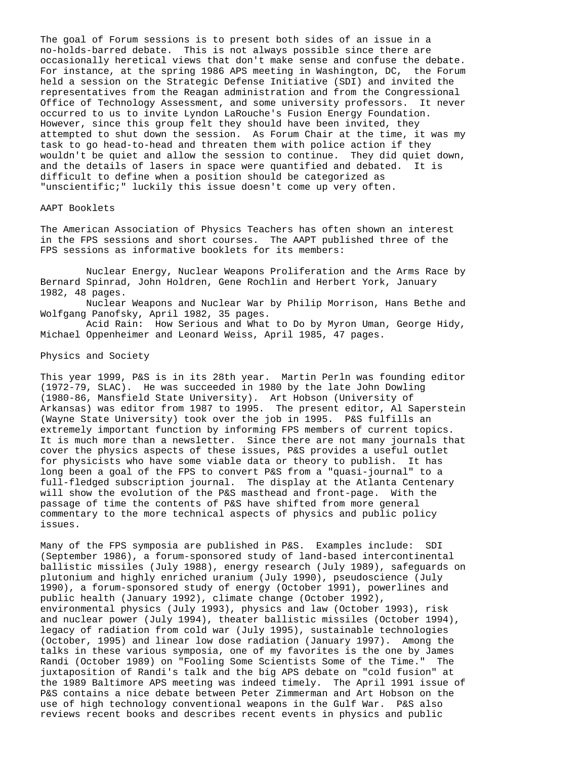The goal of Forum sessions is to present both sides of an issue in a no-holds-barred debate. This is not always possible since there are occasionally heretical views that don't make sense and confuse the debate. For instance, at the spring 1986 APS meeting in Washington, DC, the Forum held a session on the Strategic Defense Initiative (SDI) and invited the representatives from the Reagan administration and from the Congressional Office of Technology Assessment, and some university professors. It never occurred to us to invite Lyndon LaRouche's Fusion Energy Foundation. However, since this group felt they should have been invited, they attempted to shut down the session. As Forum Chair at the time, it was my task to go head-to-head and threaten them with police action if they wouldn't be quiet and allow the session to continue. They did quiet down, and the details of lasers in space were quantified and debated. It is difficult to define when a position should be categorized as "unscientific;" luckily this issue doesn't come up very often.

# AAPT Booklets

The American Association of Physics Teachers has often shown an interest in the FPS sessions and short courses. The AAPT published three of the FPS sessions as informative booklets for its members:

Nuclear Energy, Nuclear Weapons Proliferation and the Arms Race by Bernard Spinrad, John Holdren, Gene Rochlin and Herbert York, January 1982, 48 pages.

Nuclear Weapons and Nuclear War by Philip Morrison, Hans Bethe and Wolfgang Panofsky, April 1982, 35 pages.

Acid Rain: How Serious and What to Do by Myron Uman, George Hidy, Michael Oppenheimer and Leonard Weiss, April 1985, 47 pages.

Physics and Society

This year 1999, P&S is in its 28th year. Martin Perln was founding editor (1972-79, SLAC). He was succeeded in 1980 by the late John Dowling (1980-86, Mansfield State University). Art Hobson (University of Arkansas) was editor from 1987 to 1995. The present editor, Al Saperstein (Wayne State University) took over the job in 1995. P&S fulfills an extremely important function by informing FPS members of current topics. It is much more than a newsletter. Since there are not many journals that cover the physics aspects of these issues, P&S provides a useful outlet for physicists who have some viable data or theory to publish. It has long been a goal of the FPS to convert P&S from a "quasi-journal" to a full-fledged subscription journal. The display at the Atlanta Centenary will show the evolution of the P&S masthead and front-page. With the passage of time the contents of P&S have shifted from more general commentary to the more technical aspects of physics and public policy issues.

Many of the FPS symposia are published in P&S. Examples include: SDI (September 1986), a forum-sponsored study of land-based intercontinental ballistic missiles (July 1988), energy research (July 1989), safeguards on plutonium and highly enriched uranium (July 1990), pseudoscience (July 1990), a forum-sponsored study of energy (October 1991), powerlines and public health (January 1992), climate change (October 1992), environmental physics (July 1993), physics and law (October 1993), risk and nuclear power (July 1994), theater ballistic missiles (October 1994), legacy of radiation from cold war (July 1995), sustainable technologies (October, 1995) and linear low dose radiation (January 1997). Among the talks in these various symposia, one of my favorites is the one by James Randi (October 1989) on "Fooling Some Scientists Some of the Time." The juxtaposition of Randi's talk and the big APS debate on "cold fusion" at the 1989 Baltimore APS meeting was indeed timely. The April 1991 issue of P&S contains a nice debate between Peter Zimmerman and Art Hobson on the use of high technology conventional weapons in the Gulf War. P&S also reviews recent books and describes recent events in physics and public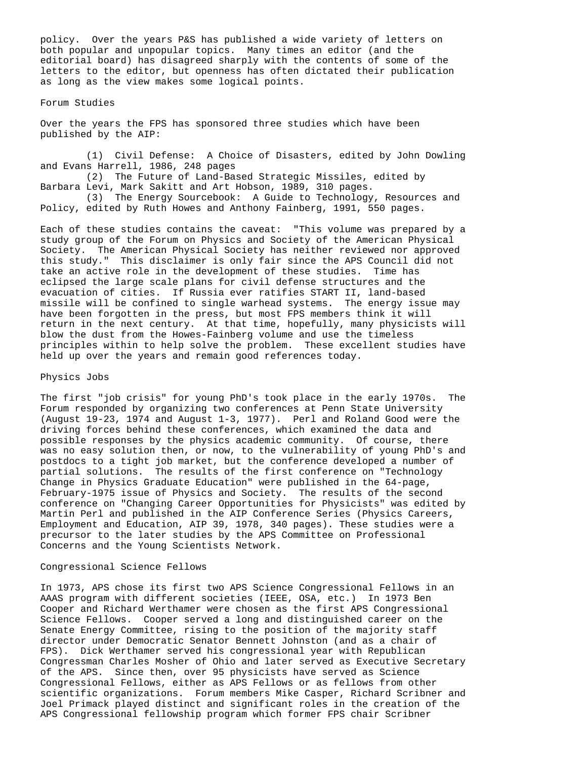policy. Over the years P&S has published a wide variety of letters on both popular and unpopular topics. Many times an editor (and the editorial board) has disagreed sharply with the contents of some of the letters to the editor, but openness has often dictated their publication as long as the view makes some logical points.

### Forum Studies

Over the years the FPS has sponsored three studies which have been published by the AIP:

(1) Civil Defense: A Choice of Disasters, edited by John Dowling and Evans Harrell, 1986, 248 pages

(2) The Future of Land-Based Strategic Missiles, edited by Barbara Levi, Mark Sakitt and Art Hobson, 1989, 310 pages.

(3) The Energy Sourcebook: A Guide to Technology, Resources and Policy, edited by Ruth Howes and Anthony Fainberg, 1991, 550 pages.

Each of these studies contains the caveat: "This volume was prepared by a study group of the Forum on Physics and Society of the American Physical Society. The American Physical Society has neither reviewed nor approved this study." This disclaimer is only fair since the APS Council did not take an active role in the development of these studies. Time has eclipsed the large scale plans for civil defense structures and the evacuation of cities. If Russia ever ratifies START II, land-based missile will be confined to single warhead systems. The energy issue may have been forgotten in the press, but most FPS members think it will return in the next century. At that time, hopefully, many physicists will blow the dust from the Howes-Fainberg volume and use the timeless principles within to help solve the problem. These excellent studies have held up over the years and remain good references today.

#### Physics Jobs

The first "job crisis" for young PhD's took place in the early 1970s. The Forum responded by organizing two conferences at Penn State University (August 19-23, 1974 and August 1-3, 1977). Perl and Roland Good were the driving forces behind these conferences, which examined the data and possible responses by the physics academic community. Of course, there was no easy solution then, or now, to the vulnerability of young PhD's and postdocs to a tight job market, but the conference developed a number of partial solutions. The results of the first conference on "Technology Change in Physics Graduate Education" were published in the 64-page, February-1975 issue of Physics and Society. The results of the second conference on "Changing Career Opportunities for Physicists" was edited by Martin Perl and published in the AIP Conference Series (Physics Careers, Employment and Education, AIP 39, 1978, 340 pages). These studies were a precursor to the later studies by the APS Committee on Professional Concerns and the Young Scientists Network.

# Congressional Science Fellows

In 1973, APS chose its first two APS Science Congressional Fellows in an AAAS program with different societies (IEEE, OSA, etc.) In 1973 Ben Cooper and Richard Werthamer were chosen as the first APS Congressional Science Fellows. Cooper served a long and distinguished career on the Senate Energy Committee, rising to the position of the majority staff director under Democratic Senator Bennett Johnston (and as a chair of FPS). Dick Werthamer served his congressional year with Republican Congressman Charles Mosher of Ohio and later served as Executive Secretary of the APS. Since then, over 95 physicists have served as Science Congressional Fellows, either as APS Fellows or as fellows from other scientific organizations. Forum members Mike Casper, Richard Scribner and Joel Primack played distinct and significant roles in the creation of the APS Congressional fellowship program which former FPS chair Scribner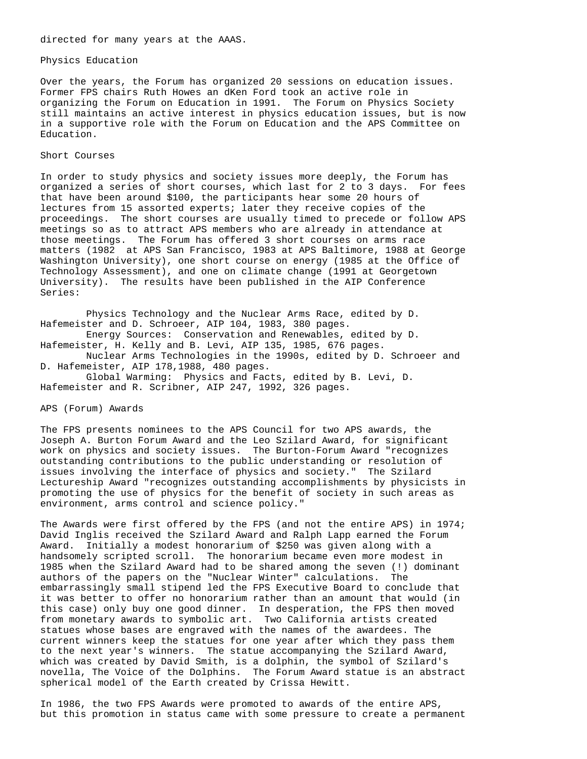#### Physics Education

Over the years, the Forum has organized 20 sessions on education issues. Former FPS chairs Ruth Howes an dKen Ford took an active role in organizing the Forum on Education in 1991. The Forum on Physics Society still maintains an active interest in physics education issues, but is now in a supportive role with the Forum on Education and the APS Committee on Education.

# Short Courses

In order to study physics and society issues more deeply, the Forum has organized a series of short courses, which last for 2 to 3 days. For fees that have been around \$100, the participants hear some 20 hours of lectures from 15 assorted experts; later they receive copies of the proceedings. The short courses are usually timed to precede or follow APS meetings so as to attract APS members who are already in attendance at those meetings. The Forum has offered 3 short courses on arms race matters (1982 at APS San Francisco, 1983 at APS Baltimore, 1988 at George Washington University), one short course on energy (1985 at the Office of Technology Assessment), and one on climate change (1991 at Georgetown University). The results have been published in the AIP Conference Series:

Physics Technology and the Nuclear Arms Race, edited by D. Hafemeister and D. Schroeer, AIP 104, 1983, 380 pages. Energy Sources: Conservation and Renewables, edited by D. Hafemeister, H. Kelly and B. Levi, AIP 135, 1985, 676 pages. Nuclear Arms Technologies in the 1990s, edited by D. Schroeer and D. Hafemeister, AIP 178,1988, 480 pages. Global Warming: Physics and Facts, edited by B. Levi, D. Hafemeister and R. Scribner, AIP 247, 1992, 326 pages.

APS (Forum) Awards

The FPS presents nominees to the APS Council for two APS awards, the Joseph A. Burton Forum Award and the Leo Szilard Award, for significant work on physics and society issues. The Burton-Forum Award "recognizes outstanding contributions to the public understanding or resolution of issues involving the interface of physics and society." The Szilard Lectureship Award "recognizes outstanding accomplishments by physicists in promoting the use of physics for the benefit of society in such areas as environment, arms control and science policy."

The Awards were first offered by the FPS (and not the entire APS) in 1974; David Inglis received the Szilard Award and Ralph Lapp earned the Forum Award. Initially a modest honorarium of \$250 was given along with a handsomely scripted scroll. The honorarium became even more modest in 1985 when the Szilard Award had to be shared among the seven (!) dominant authors of the papers on the "Nuclear Winter" calculations. The embarrassingly small stipend led the FPS Executive Board to conclude that it was better to offer no honorarium rather than an amount that would (in this case) only buy one good dinner. In desperation, the FPS then moved from monetary awards to symbolic art. Two California artists created statues whose bases are engraved with the names of the awardees. The current winners keep the statues for one year after which they pass them to the next year's winners. The statue accompanying the Szilard Award, which was created by David Smith, is a dolphin, the symbol of Szilard's novella, The Voice of the Dolphins. The Forum Award statue is an abstract spherical model of the Earth created by Crissa Hewitt.

In 1986, the two FPS Awards were promoted to awards of the entire APS, but this promotion in status came with some pressure to create a permanent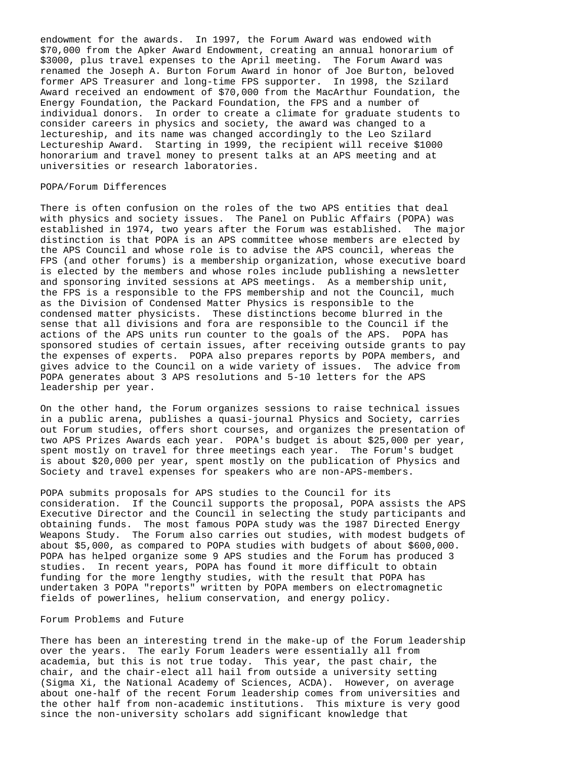endowment for the awards. In 1997, the Forum Award was endowed with \$70,000 from the Apker Award Endowment, creating an annual honorarium of \$3000, plus travel expenses to the April meeting. The Forum Award was renamed the Joseph A. Burton Forum Award in honor of Joe Burton, beloved former APS Treasurer and long-time FPS supporter. In 1998, the Szilard Award received an endowment of \$70,000 from the MacArthur Foundation, the Energy Foundation, the Packard Foundation, the FPS and a number of individual donors. In order to create a climate for graduate students to consider careers in physics and society, the award was changed to a lectureship, and its name was changed accordingly to the Leo Szilard Lectureship Award. Starting in 1999, the recipient will receive \$1000 honorarium and travel money to present talks at an APS meeting and at universities or research laboratories.

# POPA/Forum Differences

There is often confusion on the roles of the two APS entities that deal with physics and society issues. The Panel on Public Affairs (POPA) was established in 1974, two years after the Forum was established. The major distinction is that POPA is an APS committee whose members are elected by the APS Council and whose role is to advise the APS council, whereas the FPS (and other forums) is a membership organization, whose executive board is elected by the members and whose roles include publishing a newsletter and sponsoring invited sessions at APS meetings. As a membership unit, the FPS is a responsible to the FPS membership and not the Council, much as the Division of Condensed Matter Physics is responsible to the condensed matter physicists. These distinctions become blurred in the sense that all divisions and fora are responsible to the Council if the actions of the APS units run counter to the goals of the APS. POPA has sponsored studies of certain issues, after receiving outside grants to pay the expenses of experts. POPA also prepares reports by POPA members, and gives advice to the Council on a wide variety of issues. The advice from POPA generates about 3 APS resolutions and 5-10 letters for the APS leadership per year.

On the other hand, the Forum organizes sessions to raise technical issues in a public arena, publishes a quasi-journal Physics and Society, carries out Forum studies, offers short courses, and organizes the presentation of two APS Prizes Awards each year. POPA's budget is about \$25,000 per year, spent mostly on travel for three meetings each year. The Forum's budget is about \$20,000 per year, spent mostly on the publication of Physics and Society and travel expenses for speakers who are non-APS-members.

POPA submits proposals for APS studies to the Council for its consideration. If the Council supports the proposal, POPA assists the APS Executive Director and the Council in selecting the study participants and obtaining funds. The most famous POPA study was the 1987 Directed Energy Weapons Study. The Forum also carries out studies, with modest budgets of about \$5,000, as compared to POPA studies with budgets of about \$600,000. POPA has helped organize some 9 APS studies and the Forum has produced 3 studies. In recent years, POPA has found it more difficult to obtain funding for the more lengthy studies, with the result that POPA has undertaken 3 POPA "reports" written by POPA members on electromagnetic fields of powerlines, helium conservation, and energy policy.

### Forum Problems and Future

There has been an interesting trend in the make-up of the Forum leadership over the years. The early Forum leaders were essentially all from academia, but this is not true today. This year, the past chair, the chair, and the chair-elect all hail from outside a university setting (Sigma Xi, the National Academy of Sciences, ACDA). However, on average about one-half of the recent Forum leadership comes from universities and the other half from non-academic institutions. This mixture is very good since the non-university scholars add significant knowledge that